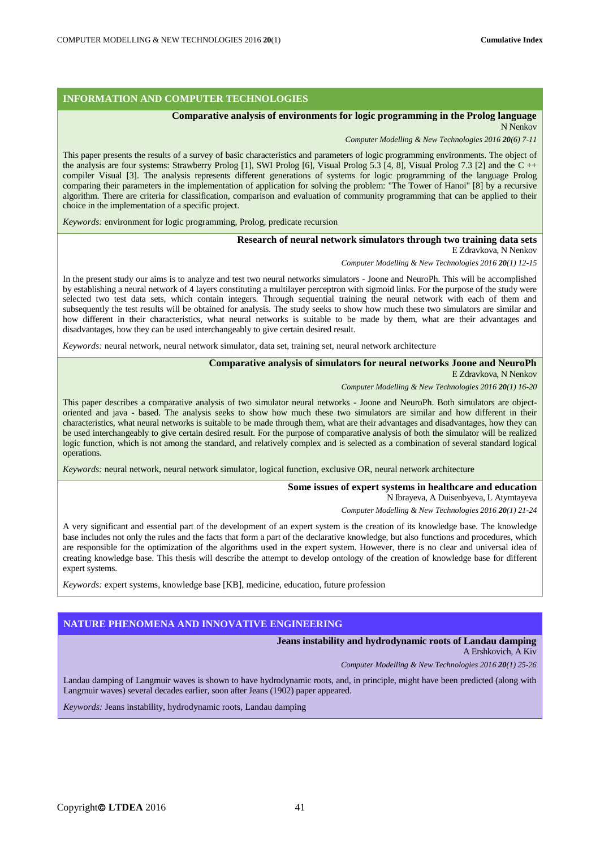### **INFORMATION AND COMPUTER TECHNOLOGIES**

## **Comparative analysis of environments for logic programming in the Prolog language**

N Nenkov

*Computer Modelling & New Technologies 2016 20(6) 7-11*

This paper presents the results of a survey of basic characteristics and parameters of logic programming environments. The object of the analysis are four systems: Strawberry Prolog [1], SWI Prolog [6], Visual Prolog 5.3 [4, 8], Visual Prolog 7.3 [2] and the C ++ compiler Visual [3]. The analysis represents different generations of systems for logic programming of the language Prolog comparing their parameters in the implementation of application for solving the problem: "The Tower of Hanoi" [8] by a recursive algorithm. There are criteria for classification, comparison and evaluation of community programming that can be applied to their choice in the implementation of a specific project.

*Keywords:* environment for logic programming, Prolog, predicate recursion

### **Research of neural network simulators through two training data sets**

E Zdravkova, N Nenkov

*Computer Modelling & New Technologies 2016 20(1) 12-15*

In the present study our aims is to analyze and test two neural networks simulators - Joone and NeuroPh. This will be accomplished by establishing a neural network of 4 layers constituting a multilayer perceptron with sigmoid links. For the purpose of the study were selected two test data sets, which contain integers. Through sequential training the neural network with each of them and subsequently the test results will be obtained for analysis. The study seeks to show how much these two simulators are similar and how different in their characteristics, what neural networks is suitable to be made by them, what are their advantages and disadvantages, how they can be used interchangeably to give certain desired result.

*Keywords:* neural network, neural network simulator, data set, training set, neural network architecture

## **Comparative analysis of simulators for neural networks Joone and NeuroPh**

E Zdravkova, N Nenkov

*Computer Modelling & New Technologies 2016 20(1) 16-20*

This paper describes a comparative analysis of two simulator neural networks - Joone and NeuroPh. Both simulators are objectoriented and java - based. The analysis seeks to show how much these two simulators are similar and how different in their characteristics, what neural networks is suitable to be made through them, what are their advantages and disadvantages, how they can be used interchangeably to give certain desired result. For the purpose of comparative analysis of both the simulator will be realized logic function, which is not among the standard, and relatively complex and is selected as a combination of several standard logical operations.

*Keywords:* neural network, neural network simulator, logical function, exclusive OR, neural network architecture

#### **Some issues of expert systems in healthcare and education** N Ibrayeva, A Duisenbyeva, L Atymtayeva

*Computer Modelling & New Technologies 2016 20(1) 21-24*

A very significant and essential part of the development of an expert system is the creation of its knowledge base. The knowledge base includes not only the rules and the facts that form a part of the declarative knowledge, but also functions and procedures, which are responsible for the optimization of the algorithms used in the expert system. However, there is no clear and universal idea of creating knowledge base. This thesis will describe the attempt to develop ontology of the creation of knowledge base for different expert systems.

*Keywords:* expert systems, knowledge base [KB], medicine, education, future profession

## **NATURE PHENOMENA AND INNOVATIVE ENGINEERING**

# **Jeans instability and hydrodynamic roots of Landau damping**

A Ershkovich, A Kiv

*Computer Modelling & New Technologies 2016 20(1) 25-26*

Landau damping of Langmuir waves is shown to have hydrodynamic roots, and, in principle, might have been predicted (along with Langmuir waves) several decades earlier, soon after Jeans (1902) paper appeared.

*Keywords:* Jeans instability, hydrodynamic roots, Landau damping